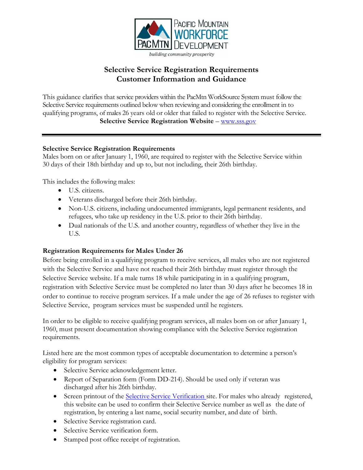

# **Selective Service Registration Requirements Customer Information and Guidance**

This guidance clarifies that service providers within the PacMtn WorkSource System must follow the Selective Service requirements outlined below when reviewing and considering the enrollment in to qualifying programs, of males 26 years old or older that failed to register with the Selective Service. **Selective Service Registration Website** – [www.sss.gov](http://www.sss.gov/)

### **Selective Service Registration Requirements**

Males born on or after January 1, 1960, are required to register with the Selective Service within 30 days of their 18th birthday and up to, but not including, their 26th birthday.

This includes the following males:

- U.S. citizens.
- Veterans discharged before their 26th birthday.
- Non-U.S. citizens, including undocumented immigrants, legal permanent residents, and refugees, who take up residency in the U.S. prior to their 26th birthday.
- Dual nationals of the U.S. and another country, regardless of whether they live in the U.S.

#### **Registration Requirements for Males Under 26**

Before being enrolled in a qualifying program to receive services, all males who are not registered with the Selective Service and have not reached their 26th birthday must register through the Selective Service website. If a male turns 18 while participating in in a qualifying program, registration with Selective Service must be completed no later than 30 days after he becomes 18 in order to continue to receive program services. If a male under the age of 26 refuses to register with Selective Service, program services must be suspended until he registers.

In order to be eligible to receive qualifying program services, all males born on or after January 1, 1960, must present documentation showing compliance with the Selective Service registration requirements.

Listed here are the most common types of acceptable documentation to determine a person's eligibility for program services:

- Selective Service acknowledgement letter.
- Report of Separation form (Form DD-214). Should be used only if veteran was discharged after his 26th birthday.
- Screen printout of the Selective Service [Verification](https://www.sss.gov/) site. For males who already registered, this website can be used to confirm their Selective Service number as well as the date of registration, by entering a last name, social security number, and date of birth.
- Selective Service registration card.
- Selective Service verification form.
- Stamped post office receipt of registration.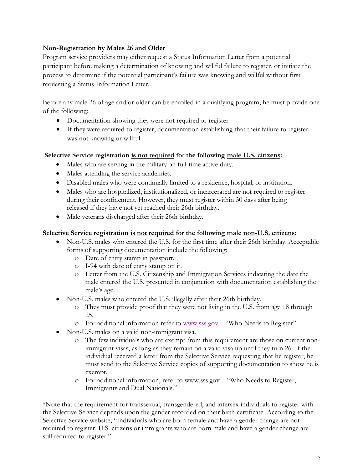# **Non-Registration by Males 26 and Older**

Program service providers may either request a Status Information Letter from a potential participant before making a determination of knowing and willful failure to register, or initiate the process to determine if the potential participant's failure was knowing and willful without first requesting a Status Information Letter.

Before any male 26 of age and or older can be enrolled in a qualifying program, he must provide one of the following:

- Documentation showing they were not required to register
- If they were required to register, documentation establishing that their failure to register was not knowing or willful

### **Selective Service registration is not required for the following male U.S. citizens:**

- Males who are serving in the military on full-time active duty.
- Males attending the service academies.
- Disabled males who were continually limited to a residence, hospital, or institution.
- Males who are hospitalized, institutionalized, or incarcerated are not required to register during their confinement. However, they must register within 30 days after being released if they have not yet reached their 26th birthday.
- Male veterans discharged after their 26th birthday.

## **Selective Service registration is not required for the following male non-U.S. citizens:**

- Non-U.S. males who entered the U.S. for the first time after their 26th birthday. Acceptable forms of supporting documentation include the following:
	- o Date of entry stamp in passport.
	- o I-94 with date of entry stamp on it.
	- o Letter from the U.S. Citizenship and Immigration Services indicating the date the male entered the U.S. presented in conjunction with documentation establishing the male's age.
- Non-U.S. males who entered the U.S. illegally after their 26th birthday.
	- o They must provide proof that they were not living in the U.S. from age 18 through 25.
	- o For additional information refer to [www.sss.gov](http://www.sss.gov/) "Who Needs to Register"
- Non-U.S. males on a valid non-immigrant visa.
	- o The few individuals who are exempt from this requirement are those on current nonimmigrant visas, as long as they remain on a valid visa up until they turn 26. If the individual received a letter from the Selective Service requesting that he register, he must send to the Selective Service copies of supporting documentation to show he is exempt.
	- o For additional information, refer to www.sss.gov "Who Needs to Register, Immigrants and Dual Nationals."

\*Note that the requirement for transsexual, transgendered, and intersex individuals to register with the Selective Service depends upon the gender recorded on their birth certificate. According to the Selective Service website, "Individuals who are born female and have a gender change are not required to register. U.S. citizens or immigrants who are born male and have a gender change are still required to register."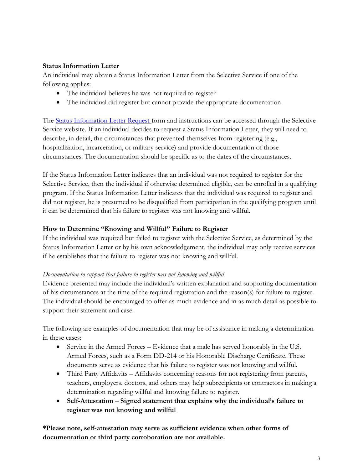## **Status Information Letter**

An individual may obtain a Status Information Letter from the Selective Service if one of the following applies:

- The individual believes he was not required to register
- The individual did register but cannot provide the appropriate documentation

The [Status Information Letter Request f](https://www.sss.gov/Forms)orm and instructions can be accessed through the Selective Service website. If an individual decides to request a Status Information Letter, they will need to describe, in detail, the circumstances that prevented themselves from registering (e.g., hospitalization, incarceration, or military service) and provide documentation of those circumstances. The documentation should be specific as to the dates of the circumstances.

If the Status Information Letter indicates that an individual was not required to register for the Selective Service, then the individual if otherwise determined eligible, can be enrolled in a qualifying program. If the Status Information Letter indicates that the individual was required to register and did not register, he is presumed to be disqualified from participation in the qualifying program until it can be determined that his failure to register was not knowing and willful.

### **How to Determine "Knowing and Willful" Failure to Register**

If the individual was required but failed to register with the Selective Service, as determined by the Status Information Letter or by his own acknowledgement, the individual may only receive services if he establishes that the failure to register was not knowing and willful.

#### *Documentation to support that failure to register was not knowing and willful*

Evidence presented may include the individual's written explanation and supporting documentation of his circumstances at the time of the required registration and the reason(s) for failure to register. The individual should be encouraged to offer as much evidence and in as much detail as possible to support their statement and case.

The following are examples of documentation that may be of assistance in making a determination in these cases:

- Service in the Armed Forces Evidence that a male has served honorably in the U.S. Armed Forces, such as a Form DD-214 or his Honorable Discharge Certificate. These documents serve as evidence that his failure to register was not knowing and willful.
- Third Party Affidavits Affidavits concerning reasons for not registering from parents, teachers, employers, doctors, and others may help subrecipients or contractors in making a determination regarding willful and knowing failure to register.
- **Self-Attestation – Signed statement that explains why the individual's failure to register was not knowing and willful**

**\*Please note, self-attestation may serve as sufficient evidence when other forms of documentation or third party corroboration are not available.**